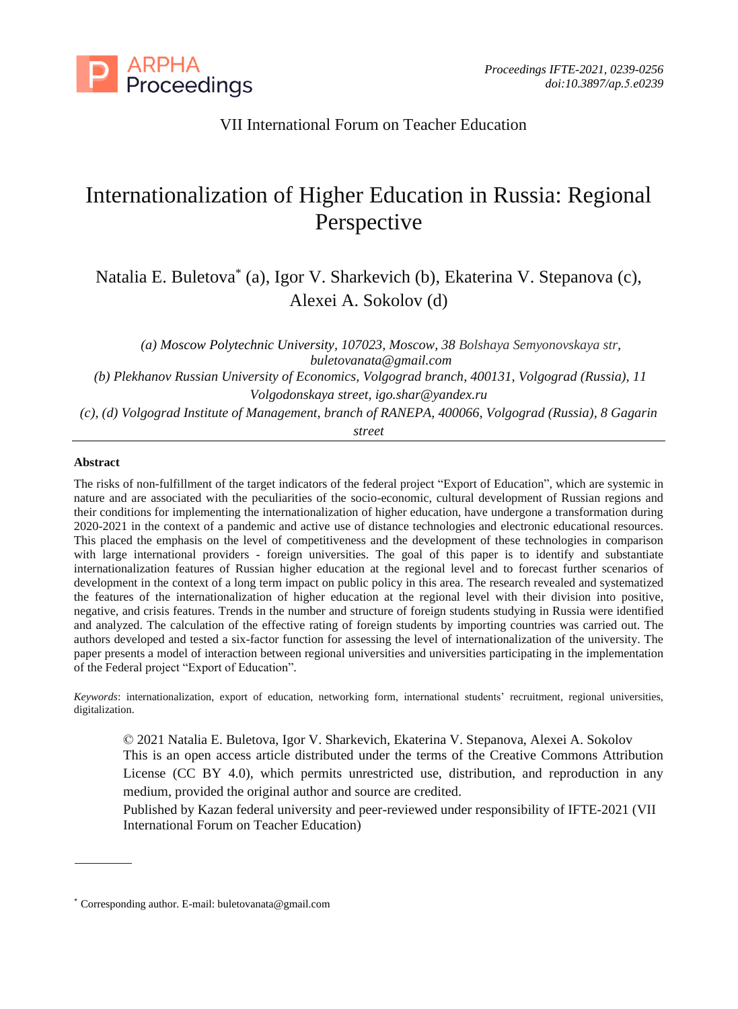

## VII International Forum on Teacher Education

# Internationalization of Higher Education in Russia: Regional Perspective

Natalia E. Buletova\* (a), Igor V. Sharkevich (b), Ekaterina V. Stepanova (c), Alexei A. Sokolov (d)

*(a) Moscow Polytechnic University, 107023, Moscow, 38 Bolshaya Semyonovskaya str, buletovanata@gmail.com (b) Plekhanov Russian University of Economics, Volgograd branch, 400131, Volgograd (Russia), 11*

*Volgodonskaya street, igo.shar@yandex.ru*

*(c), (d) Volgograd Institute of Management, branch of RANEPA, 400066, Volgograd (Russia), 8 Gagarin*

*street*

#### **Abstract**

The risks of non-fulfillment of the target indicators of the federal project "Export of Education", which are systemic in nature and are associated with the peculiarities of the socio-economic, cultural development of Russian regions and their conditions for implementing the internationalization of higher education, have undergone a transformation during 2020-2021 in the context of a pandemic and active use of distance technologies and electronic educational resources. This placed the emphasis on the level of competitiveness and the development of these technologies in comparison with large international providers - foreign universities. The goal of this paper is to identify and substantiate internationalization features of Russian higher education at the regional level and to forecast further scenarios of development in the context of a long term impact on public policy in this area. The research revealed and systematized the features of the internationalization of higher education at the regional level with their division into positive, negative, and crisis features. Trends in the number and structure of foreign students studying in Russia were identified and analyzed. The calculation of the effective rating of foreign students by importing countries was carried out. The authors developed and tested a six-factor function for assessing the level of internationalization of the university. The paper presents a model of interaction between regional universities and universities participating in the implementation of the Federal project "Export of Education".

*Keywords*: internationalization, export of education, networking form, international students' recruitment, regional universities, digitalization.

© 2021 Natalia E. Buletova, Igor V. Sharkevich, Ekaterina V. Stepanova, Alexei A. Sokolov This is an open access article distributed under the terms of the Creative Commons Attribution License (CC BY 4.0), which permits unrestricted use, distribution, and reproduction in any medium, provided the original author and source are credited.

Published by Kazan federal university and peer-reviewed under responsibility of IFTE-2021 (VII International Forum on Teacher Education)

<sup>\*</sup> Corresponding author. E-mail: buletovanata@gmail.com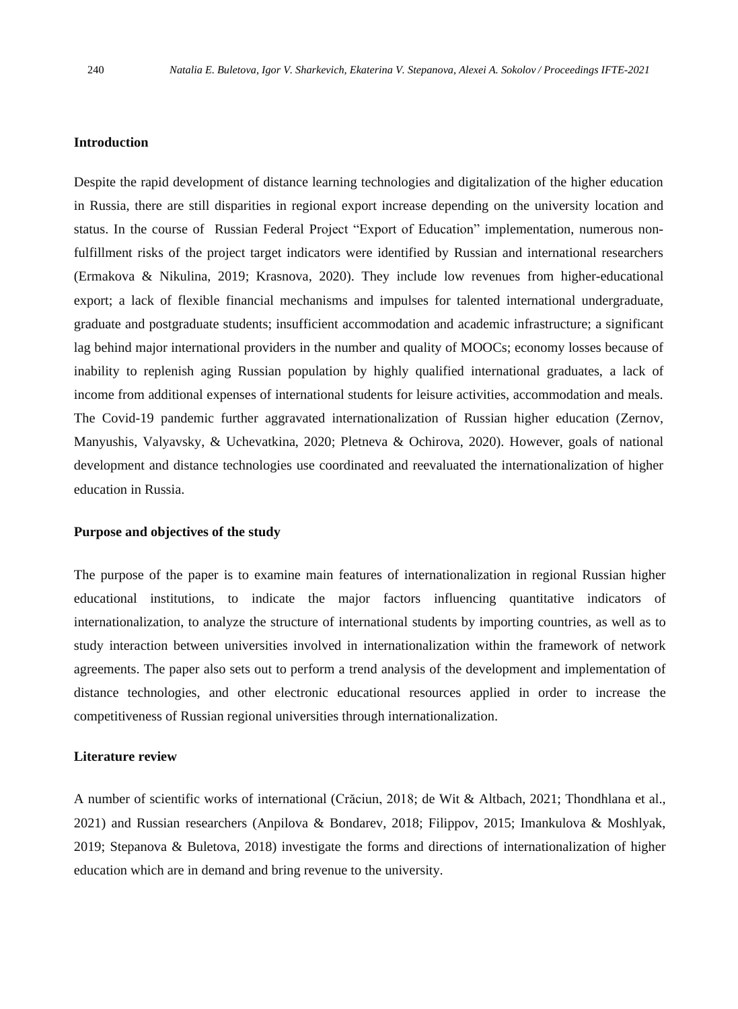## **Introduction**

Despite the rapid development of distance learning technologies and digitalization of the higher education in Russia, there are still disparities in regional export increase depending on the university location and status. In the course of Russian Federal Project "Export of Education" implementation, numerous nonfulfillment risks of the project target indicators were identified by Russian and international researchers (Ermakova & Nikulina, 2019; Krasnova, 2020). They include low revenues from higher-educational export; a lack of flexible financial mechanisms and impulses for talented international undergraduate, graduate and postgraduate students; insufficient accommodation and academic infrastructure; a significant lag behind major international providers in the number and quality of MOOCs; economy losses because of inability to replenish aging Russian population by highly qualified international graduates, a lack of income from additional expenses of international students for leisure activities, accommodation and meals. The Covid-19 pandemic further aggravated internationalization of Russian higher education (Zernov, Manyushis, Valyavsky, & Uchevatkina, 2020; Pletneva & Ochirova, 2020). However, goals of national development and distance technologies use coordinated and reevaluated the internationalization of higher education in Russia.

### **Purpose and objectives of the study**

The purpose of the paper is to examine main features of internationalization in regional Russian higher educational institutions, to indicate the major factors influencing quantitative indicators of internationalization, to analyze the structure of international students by importing countries, as well as to study interaction between universities involved in internationalization within the framework of network agreements. The paper also sets out to perform a trend analysis of the development and implementation of distance technologies, and other electronic educational resources applied in order to increase the competitiveness of Russian regional universities through internationalization.

#### **Literature review**

A number of scientific works of international (Crăciun, 2018; de Wit & Altbach, 2021; Thondhlana et al., 2021) and Russian researchers (Anpilova & Bondarev, 2018; Filippov, 2015; Imankulova & Moshlyak, 2019; Stepanova & Buletova, 2018) investigate the forms and directions of internationalization of higher education which are in demand and bring revenue to the university.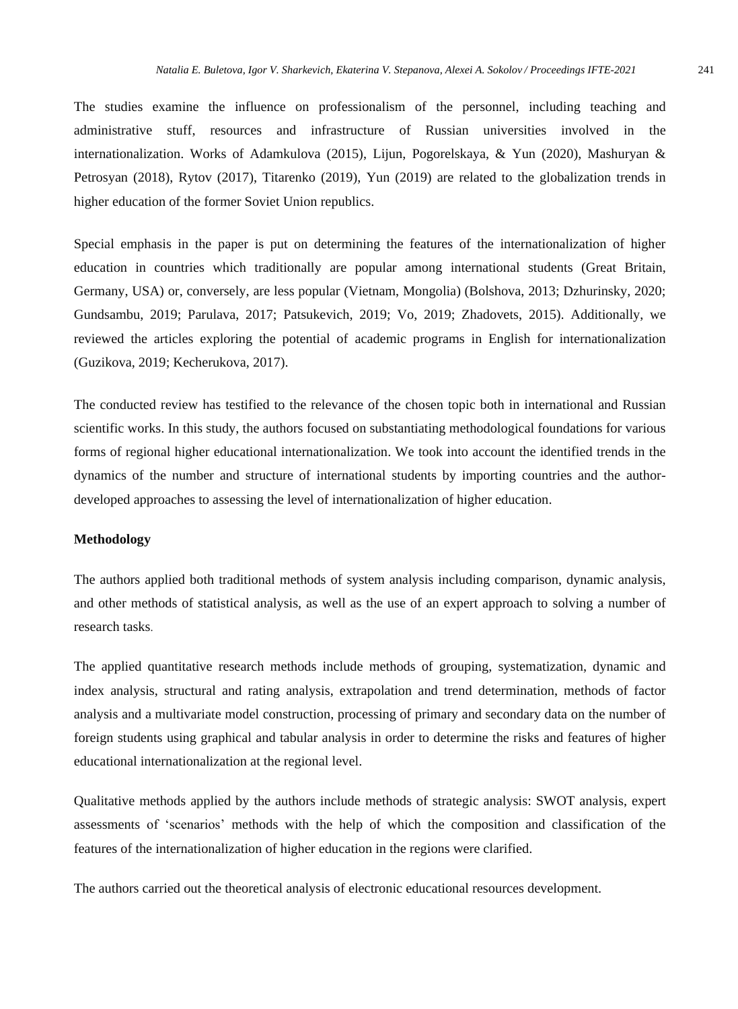The studies examine the influence on professionalism of the personnel, including teaching and administrative stuff, resources and infrastructure of Russian universities involved in the internationalization. Works of Adamkulova (2015), Lijun, Pogorelskaya, & Yun (2020), Mashuryan & Petrosyan (2018), Rytov (2017), Titarenko (2019), Yun (2019) are related to the globalization trends in higher education of the former Soviet Union republics.

Special emphasis in the paper is put on determining the features of the internationalization of higher education in countries which traditionally are popular among international students (Great Britain, Germany, USA) or, conversely, are less popular (Vietnam, Mongolia) (Bolshova, 2013; Dzhurinsky, 2020; Gundsambu, 2019; Parulava, 2017; Patsukevich, 2019; Vo, 2019; Zhadovets, 2015). Additionally, we reviewed the articles exploring the potential of academic programs in English for internationalization (Guzikova, 2019; Kecherukova, 2017).

The conducted review has testified to the relevance of the chosen topic both in international and Russian scientific works. In this study, the authors focused on substantiating methodological foundations for various forms of regional higher educational internationalization. We took into account the identified trends in the dynamics of the number and structure of international students by importing countries and the authordeveloped approaches to assessing the level of internationalization of higher education.

## **Methodology**

The authors applied both traditional methods of system analysis including comparison, dynamic analysis, and other methods of statistical analysis, as well as the use of an expert approach to solving a number of research tasks.

The applied quantitative research methods include methods of grouping, systematization, dynamic and index analysis, structural and rating analysis, extrapolation and trend determination, methods of factor analysis and a multivariate model construction, processing of primary and secondary data on the number of foreign students using graphical and tabular analysis in order to determine the risks and features of higher educational internationalization at the regional level.

Qualitative methods applied by the authors include methods of strategic analysis: SWOT analysis, expert assessments of 'scenarios' methods with the help of which the composition and classification of the features of the internationalization of higher education in the regions were clarified.

The authors carried out the theoretical analysis of electronic educational resources development.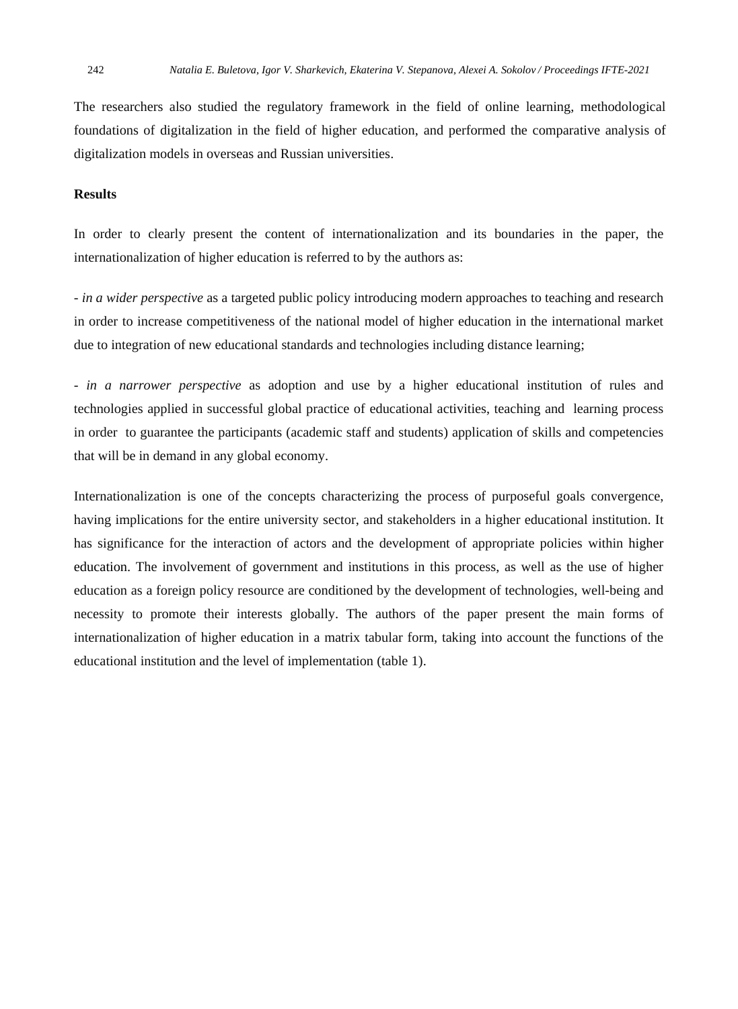The researchers also studied the regulatory framework in the field of online learning, methodological foundations of digitalization in the field of higher education, and performed the comparative analysis of digitalization models in overseas and Russian universities.

## **Results**

In order to clearly present the content of internationalization and its boundaries in the paper, the internationalization of higher education is referred to by the authors as:

- *in a wider perspective* as a targeted public policy introducing modern approaches to teaching and research in order to increase competitiveness of the national model of higher education in the international market due to integration of new educational standards and technologies including distance learning;

- *in a narrower perspective* as adoption and use by a higher educational institution of rules and technologies applied in successful global practice of educational activities, teaching and learning process in order to guarantee the participants (academic staff and students) application of skills and competencies that will be in demand in any global economy.

Internationalization is one of the concepts characterizing the process of purposeful goals convergence, having implications for the entire university sector, and stakeholders in a higher educational institution. It has significance for the interaction of actors and the development of appropriate policies within higher education. The involvement of government and institutions in this process, as well as the use of higher education as a foreign policy resource are conditioned by the development of technologies, well-being and necessity to promote their interests globally. The authors of the paper present the main forms of internationalization of higher education in a matrix tabular form, taking into account the functions of the educational institution and the level of implementation (table 1).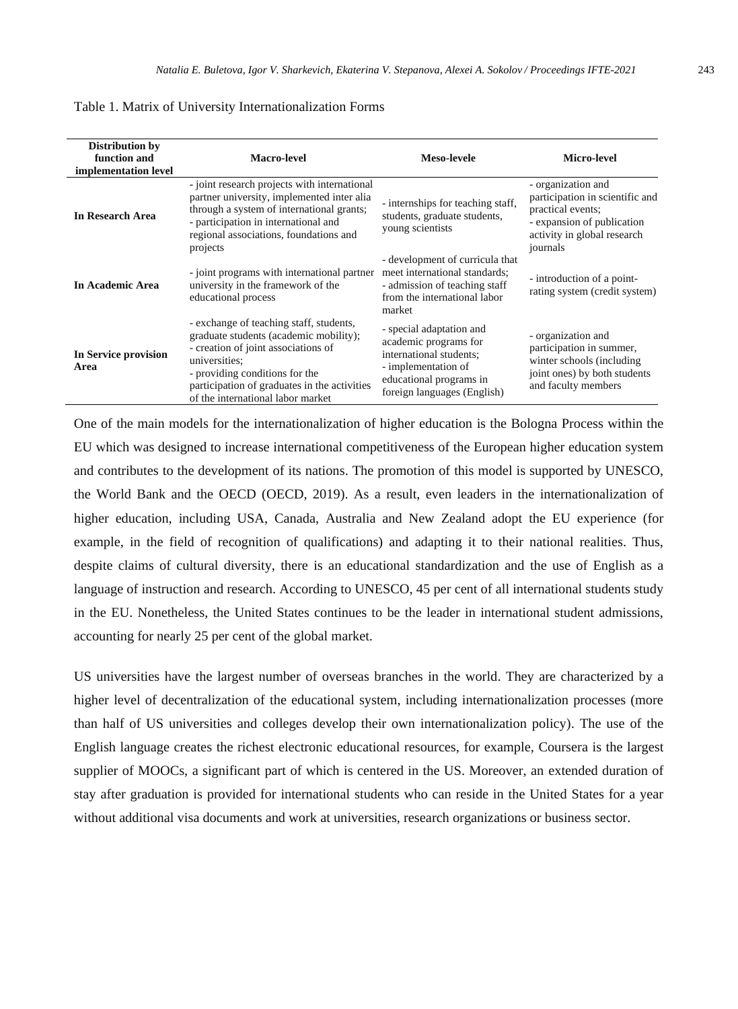| <b>Distribution by</b><br>function and<br>implementation level | Macro-level                                                                                                                                                                                                                                                      | Meso-levele                                                                                                                                                   | Micro-level                                                                                                                                         |
|----------------------------------------------------------------|------------------------------------------------------------------------------------------------------------------------------------------------------------------------------------------------------------------------------------------------------------------|---------------------------------------------------------------------------------------------------------------------------------------------------------------|-----------------------------------------------------------------------------------------------------------------------------------------------------|
| In Research Area                                               | - joint research projects with international<br>partner university, implemented inter alia<br>through a system of international grants;<br>- participation in international and<br>regional associations, foundations and<br>projects                            | - internships for teaching staff,<br>students, graduate students,<br>young scientists                                                                         | - organization and<br>participation in scientific and<br>practical events;<br>- expansion of publication<br>activity in global research<br>journals |
| In Academic Area                                               | - joint programs with international partner<br>university in the framework of the<br>educational process                                                                                                                                                         | - development of curricula that<br>meet international standards:<br>- admission of teaching staff<br>from the international labor<br>market                   | - introduction of a point-<br>rating system (credit system)                                                                                         |
| In Service provision<br>Area                                   | - exchange of teaching staff, students,<br>graduate students (academic mobility);<br>- creation of joint associations of<br>universities:<br>- providing conditions for the<br>participation of graduates in the activities<br>of the international labor market | - special adaptation and<br>academic programs for<br>international students;<br>- implementation of<br>educational programs in<br>foreign languages (English) | - organization and<br>participation in summer,<br>winter schools (including)<br>joint ones) by both students<br>and faculty members                 |

Table 1. Matrix of University Internationalization Forms

One of the main models for the internationalization of higher education is the Bologna Process within the EU which was designed to increase international competitiveness of the European higher education system and contributes to the development of its nations. The promotion of this model is supported by UNESCO, the World Bank and the OECD (OECD, 2019). As a result, even leaders in the internationalization of higher education, including USA, Canada, Australia and New Zealand adopt the EU experience (for example, in the field of recognition of qualifications) and adapting it to their national realities. Thus, despite claims of cultural diversity, there is an educational standardization and the use of English as a language of instruction and research. According to UNESCO, 45 per cent of all international students study in the EU. Nonetheless, the United States continues to be the leader in international student admissions, accounting for nearly 25 per cent of the global market.

US universities have the largest number of overseas branches in the world. They are characterized by a higher level of decentralization of the educational system, including internationalization processes (more than half of US universities and colleges develop their own internationalization policy). The use of the English language creates the richest electronic educational resources, for example, Coursera is the largest supplier of MOOCs, a significant part of which is centered in the US. Moreover, an extended duration of stay after graduation is provided for international students who can reside in the United States for a year without additional visa documents and work at universities, research organizations or business sector.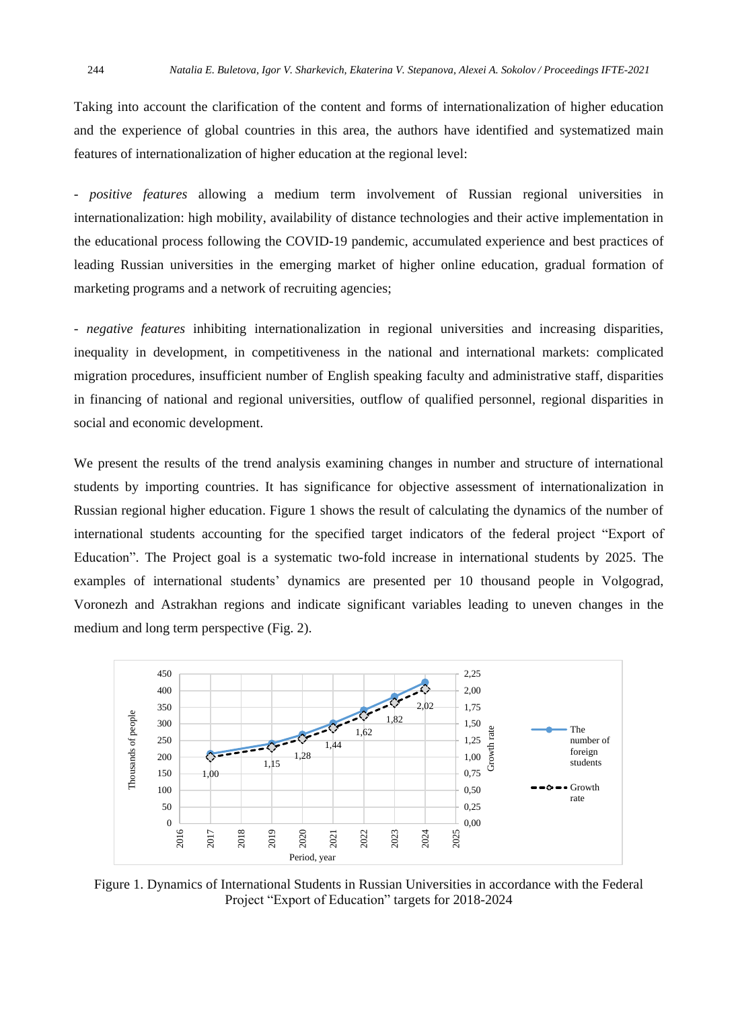Taking into account the clarification of the content and forms of internationalization of higher education and the experience of global countries in this area, the authors have identified and systematized main features of internationalization of higher education at the regional level:

- *positive features* allowing a medium term involvement of Russian regional universities in internationalization: high mobility, availability of distance technologies and their active implementation in the educational process following the COVID-19 pandemic, accumulated experience and best practices of leading Russian universities in the emerging market of higher online education, gradual formation of marketing programs and a network of recruiting agencies;

- *negative features* inhibiting internationalization in regional universities and increasing disparities, inequality in development, in competitiveness in the national and international markets: complicated migration procedures, insufficient number of English speaking faculty and administrative staff, disparities in financing of national and regional universities, outflow of qualified personnel, regional disparities in social and economic development.

We present the results of the trend analysis examining changes in number and structure of international students by importing countries. It has significance for objective assessment of internationalization in Russian regional higher education. Figure 1 shows the result of calculating the dynamics of the number of international students accounting for the specified target indicators of the federal project "Export of Education". The Project goal is a systematic two-fold increase in international students by 2025. The examples of international students' dynamics are presented per 10 thousand people in Volgograd, Voronezh and Astrakhan regions and indicate significant variables leading to uneven changes in the medium and long term perspective (Fig. 2).



Figure 1. Dynamics of International Students in Russian Universities in accordance with the Federal Project "Export of Education" targets for 2018-2024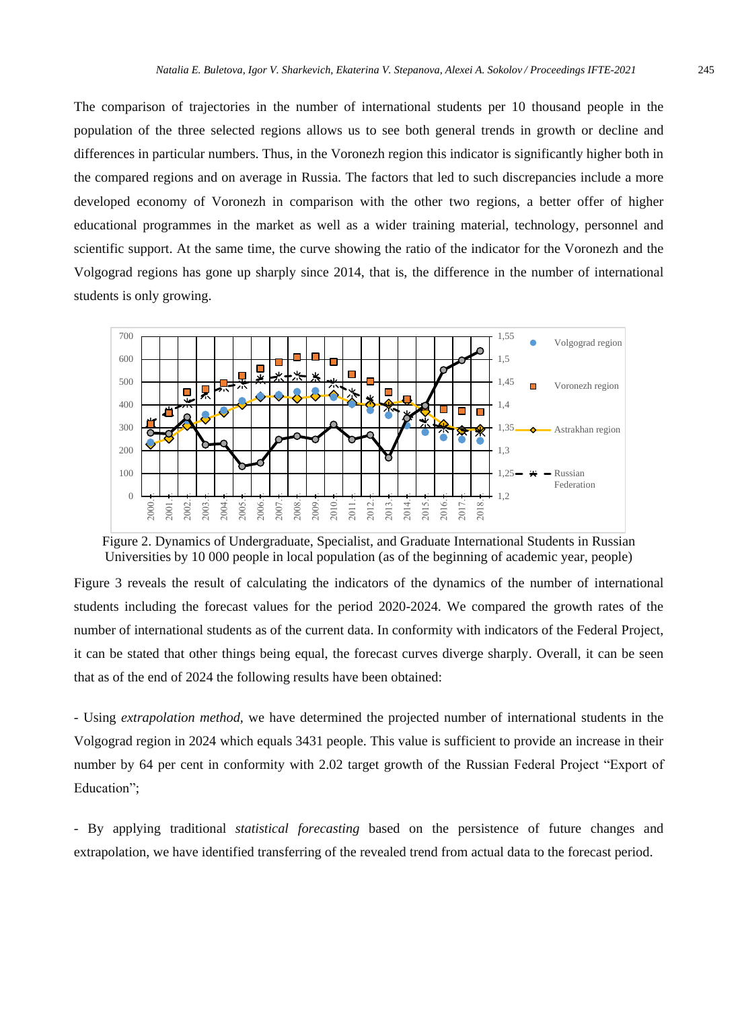The comparison of trajectories in the number of international students per 10 thousand people in the population of the three selected regions allows us to see both general trends in growth or decline and differences in particular numbers. Thus, in the Voronezh region this indicator is significantly higher both in the compared regions and on average in Russia. The factors that led to such discrepancies include a more developed economy of Voronezh in comparison with the other two regions, a better offer of higher educational programmes in the market as well as a wider training material, technology, personnel and scientific support. At the same time, the curve showing the ratio of the indicator for the Voronezh and the Volgograd regions has gone up sharply since 2014, that is, the difference in the number of international students is only growing.



Figure 2. Dynamics of Undergraduate, Specialist, and Graduate International Students in Russian Universities by 10 000 people in local population (as of the beginning of academic year, people)

Figure 3 reveals the result of calculating the indicators of the dynamics of the number of international students including the forecast values for the period 2020-2024. We compared the growth rates of the number of international students as of the current data. In conformity with indicators of the Federal Project, it can be stated that other things being equal, the forecast curves diverge sharply. Overall, it can be seen that as of the end of 2024 the following results have been obtained:

- Using *extrapolation method*, we have determined the projected number of international students in the Volgograd region in 2024 which equals 3431 people. This value is sufficient to provide an increase in their number by 64 per cent in conformity with 2.02 target growth of the Russian Federal Project "Export of Education";

- By applying traditional *statistical forecasting* based on the persistence of future changes and extrapolation, we have identified transferring of the revealed trend from actual data to the forecast period.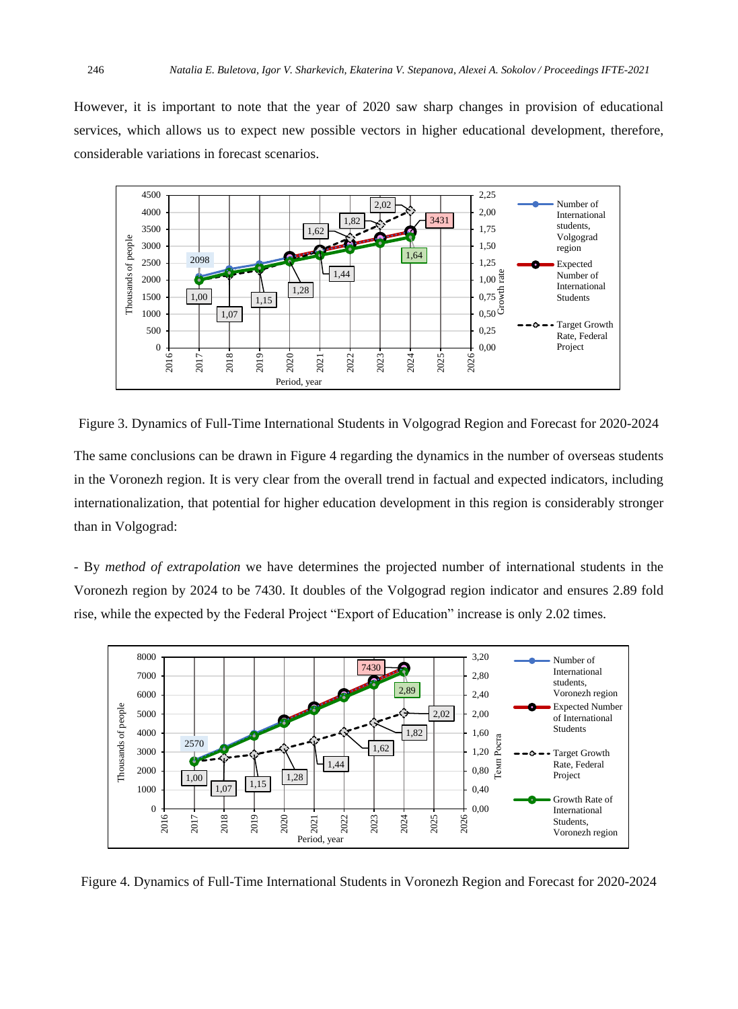However, it is important to note that the year of 2020 saw sharp changes in provision of educational services, which allows us to expect new possible vectors in higher educational development, therefore, considerable variations in forecast scenarios.



Figure 3. Dynamics of Full-Time International Students in Volgograd Region and Forecast for 2020-2024

The same conclusions can be drawn in Figure 4 regarding the dynamics in the number of overseas students in the Voronezh region. It is very clear from the overall trend in factual and expected indicators, including internationalization, that potential for higher education development in this region is considerably stronger than in Volgograd:

- By *method of extrapolation* we have determines the projected number of international students in the Voronezh region by 2024 to be 7430. It doubles of the Volgograd region indicator and ensures 2.89 fold rise, while the expected by the Federal Project "Export of Education" increase is only 2.02 times.



Figure 4. Dynamics of Full-Time International Students in Voronezh Region and Forecast for 2020-2024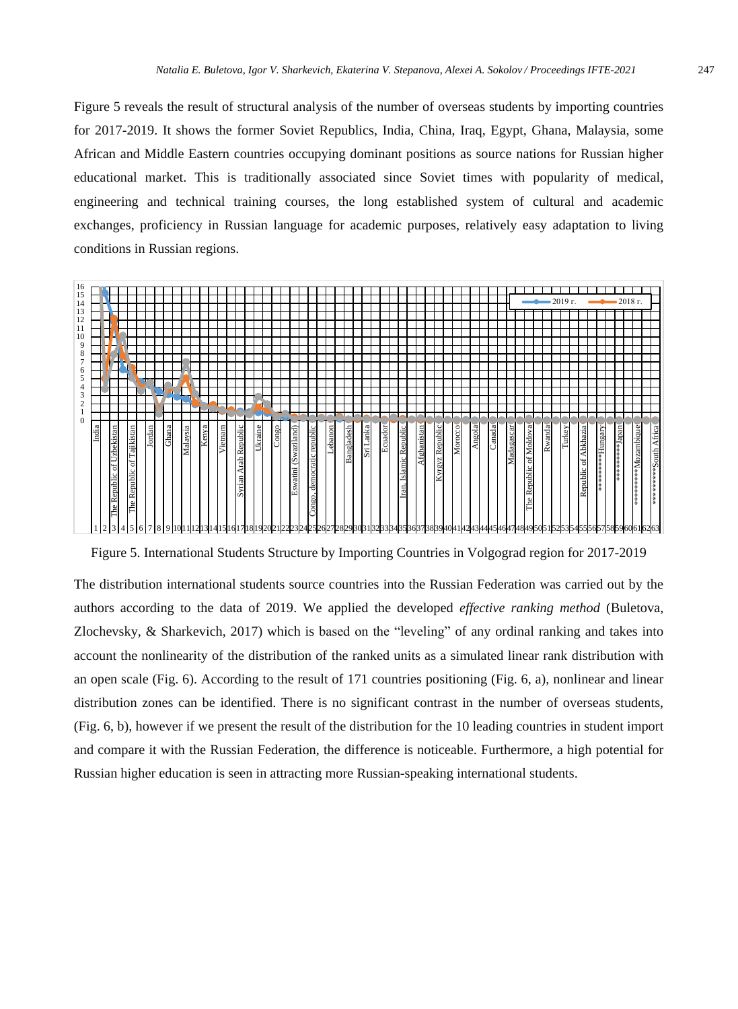Figure 5 reveals the result of structural analysis of the number of overseas students by importing countries for 2017-2019. It shows the former Soviet Republics, India, China, Iraq, Egypt, Ghana, Malaysia, some African and Middle Eastern countries occupying dominant positions as source nations for Russian higher educational market. This is traditionally associated since Soviet times with popularity of medical, engineering and technical training courses, the long established system of cultural and academic exchanges, proficiency in Russian language for academic purposes, relatively easy adaptation to living conditions in Russian regions.



Figure 5. International Students Structure by Importing Countries in Volgograd region for 2017-2019

The distribution international students source countries into the Russian Federation was carried out by the authors according to the data of 2019. We applied the developed *effective ranking method* (Buletova, Zlochevsky, & Sharkevich, 2017) which is based on the "leveling" of any ordinal ranking and takes into account the nonlinearity of the distribution of the ranked units as a simulated linear rank distribution with an open scale (Fig. 6). According to the result of 171 countries positioning (Fig. 6, a), nonlinear and linear distribution zones can be identified. There is no significant contrast in the number of overseas students, (Fig. 6, b), however if we present the result of the distribution for the 10 leading countries in student import and compare it with the Russian Federation, the difference is noticeable. Furthermore, a high potential for Russian higher education is seen in attracting more Russian-speaking international students.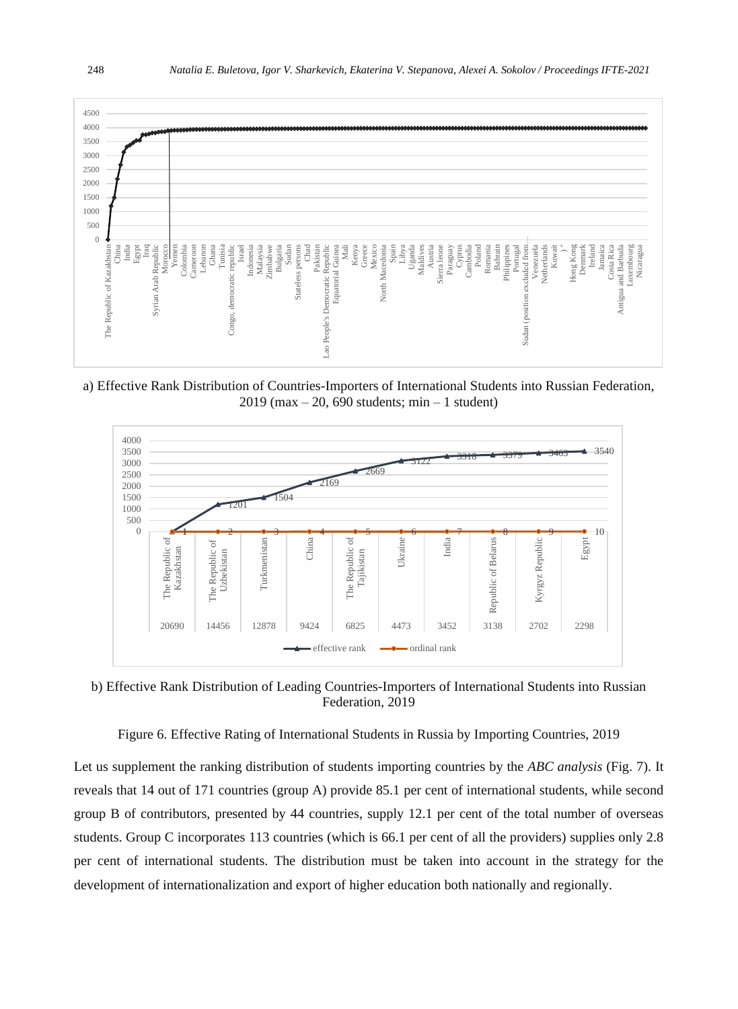

a) Effective Rank Distribution of Countries-Importers of International Students into Russian Federation, 2019 (max – 20, 690 students; min – 1 student)



b) Effective Rank Distribution of Leading Countries-Importers of International Students into Russian Federation, 2019

Figure 6. Effective Rating of International Students in Russia by Importing Countries, 2019

Let us supplement the ranking distribution of students importing countries by the *ABC analysis* (Fig. 7). It reveals that 14 out of 171 countries (group A) provide 85.1 per cent of international students, while second group B of contributors, presented by 44 countries, supply 12.1 per cent of the total number of overseas students. Group C incorporates 113 countries (which is 66.1 per cent of all the providers) supplies only 2.8 per cent of international students. The distribution must be taken into account in the strategy for the development of internationalization and export of higher education both nationally and regionally.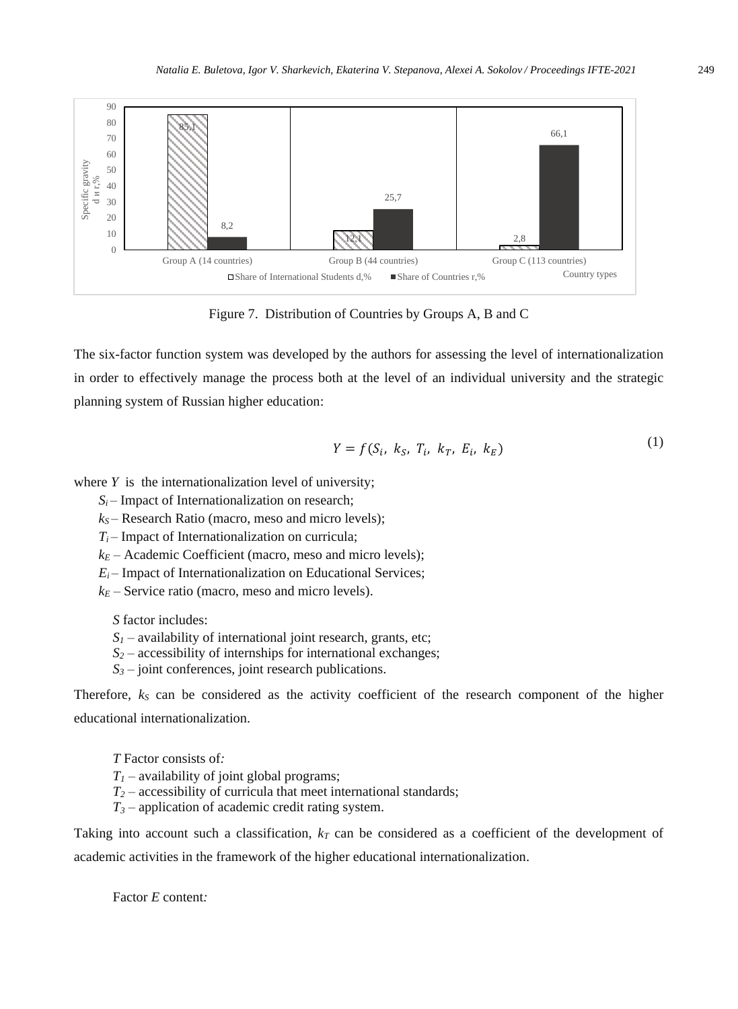

Figure 7. Distribution of Countries by Groups A, B and C

The six-factor function system was developed by the authors for assessing the level of internationalization in order to effectively manage the process both at the level of an individual university and the strategic planning system of Russian higher education:

$$
Y = f(S_i, k_S, T_i, k_T, E_i, k_E)
$$
\n<sup>(1)</sup>

where *Y* is the internationalization level of university;

 $S_i$  – Impact of Internationalization on research;

*k<sup>S</sup>* – Research Ratio (macro, meso and micro levels);

 $T_i$  – Impact of Internationalization on curricula;

 $k_E$  – Academic Coefficient (macro, meso and micro levels);

 $E_i$  – Impact of Internationalization on Educational Services;

 $k_E$  – Service ratio (macro, meso and micro levels).

*S* factor includes:

- $S_I$  availability of international joint research, grants, etc;
- $S_2$  accessibility of internships for international exchanges;
- *S<sup>3</sup> –* joint conferences, joint research publications.

Therefore,  $k_S$  can be considered as the activity coefficient of the research component of the higher educational internationalization.

*T* Factor consists of*:*

- *T<sup>1</sup>* availability of joint global programs;
- $T_2$  accessibility of curricula that meet international standards;
- $T_3$  application of academic credit rating system.

Taking into account such a classification,  $k<sub>T</sub>$  can be considered as a coefficient of the development of academic activities in the framework of the higher educational internationalization.

Factor *E* content*:*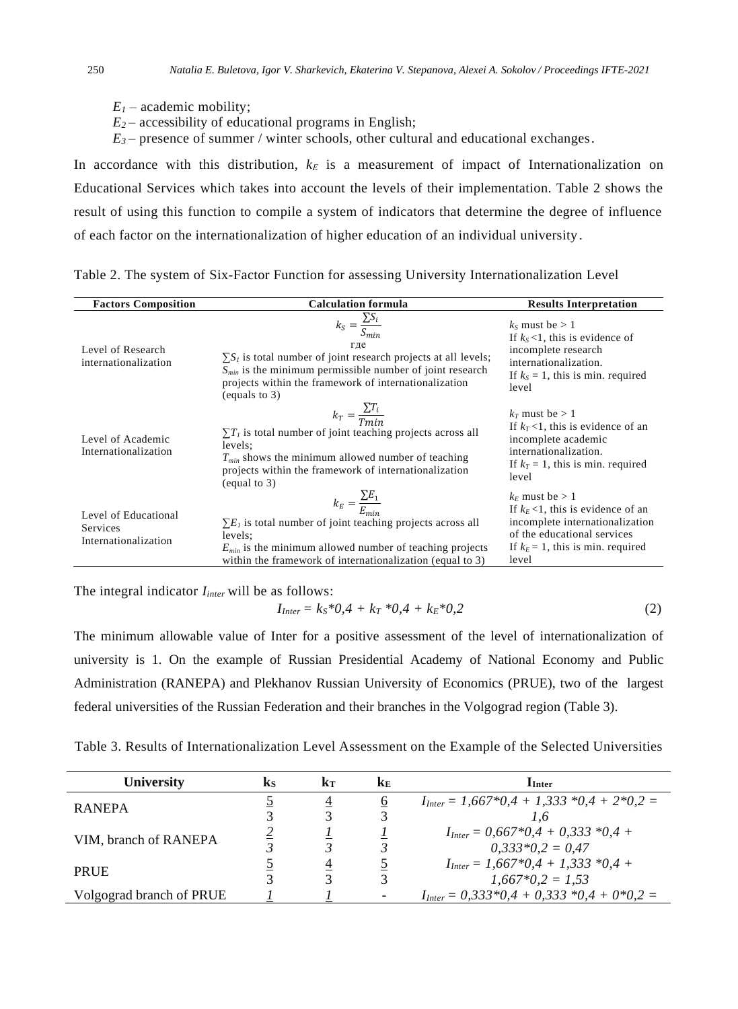- $E_I$  academic mobility;
- $E_2$  accessibility of educational programs in English;
- $E_3$  presence of summer / winter schools, other cultural and educational exchanges.

In accordance with this distribution,  $k_E$  is a measurement of impact of Internationalization on Educational Services which takes into account the levels of their implementation. Table 2 shows the result of using this function to compile a system of indicators that determine the degree of influence of each factor on the internationalization of higher education of an individual university .

| <b>Factors Composition</b>                               | <b>Calculation formula</b>                                                                                                                                                                                                                                    | <b>Results Interpretation</b>                                                                                                                                                 |
|----------------------------------------------------------|---------------------------------------------------------------------------------------------------------------------------------------------------------------------------------------------------------------------------------------------------------------|-------------------------------------------------------------------------------------------------------------------------------------------------------------------------------|
| Level of Research<br>internationalization                | $k_S = \frac{\sum S_i}{S_{min}}$<br>гле<br>$\sum S_i$ is total number of joint research projects at all levels;<br>$S_{min}$ is the minimum permissible number of joint research<br>projects within the framework of internationalization<br>(equals to $3$ ) | $k_s$ must be $> 1$<br>If $k_s$ <1, this is evidence of<br>incomplete research<br>internationalization.<br>If $k_s = 1$ , this is min. required<br>level                      |
| Level of Academic<br>Internationalization                | $k_T = \frac{\sum T_i}{T_{min}}$<br>$\Sigma T_i$ is total number of joint teaching projects across all<br>levels:<br>$T_{min}$ shows the minimum allowed number of teaching<br>projects within the framework of internationalization<br>$\left($ equal to 3)  | $k_T$ must be $> 1$<br>If $k_T$ <1, this is evidence of an<br>incomplete academic<br>internationalization.<br>If $k_T = 1$ , this is min. required<br>level                   |
| Level of Educational<br>Services<br>Internationalization | $k_E = \frac{\sum E_1}{F}$<br>$\Sigma E_l$ is total number of joint teaching projects across all<br>levels:<br>$E_{min}$ is the minimum allowed number of teaching projects<br>within the framework of internationalization (equal to 3)                      | $k_F$ must be $> 1$<br>If $k_E$ <1, this is evidence of an<br>incomplete internationalization<br>of the educational services<br>If $k_E = 1$ , this is min. required<br>level |

Table 2. The system of Six-Factor Function for assessing University Internationalization Level

The integral indicator *Iinter* will be as follows:

$$
I_{Inter} = k_S * 0.4 + k_T * 0.4 + k_E * 0.2 \tag{2}
$$

The minimum allowable value of Inter for a positive assessment of the level of internationalization of university is 1. On the example of Russian Presidential Academy of National Economy and Public Administration (RANEPA) and Plekhanov Russian University of Economics (PRUE), two of the largest federal universities of the Russian Federation and their branches in the Volgograd region (Table 3).

Table 3. Results of Internationalization Level Assessment on the Example of the Selected Universities

| <b>University</b>        | ks | kт                      | KF. | $\mathbf{I}_{\text{Inter}}$                   |
|--------------------------|----|-------------------------|-----|-----------------------------------------------|
| <b>RANEPA</b>            |    | 4                       | O   | $I_{Inter} = 1,667*0.4 + 1,333*0.4 + 2*0.2 =$ |
|                          |    |                         |     | 1.6                                           |
| VIM, branch of RANEPA    |    |                         |     | $I_{\text{Inter}} = 0.667*0.4 + 0.333*0.4 +$  |
|                          |    |                         |     | $0.333*0.2 = 0.47$                            |
| PRUE                     |    | 4                       |     | $I_{Inter} = 1.667*0.4 + 1.333*0.4 +$         |
|                          |    | $\mathbf{\overline{3}}$ | 2   | $1.667*0.2 = 1.53$                            |
| Volgograd branch of PRUE |    |                         |     | $I_{Inter} = 0.333*0.4 + 0.333*0.4 + 0*0.2 =$ |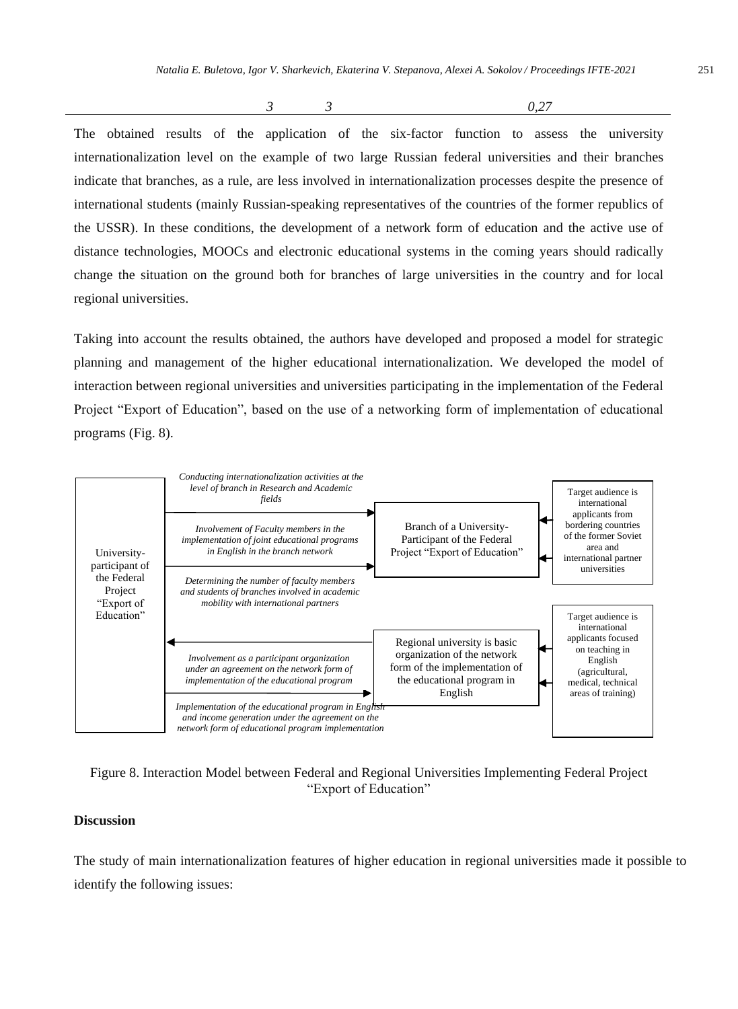*3 3 0,27*

The obtained results of the application of the six-factor function to assess the university internationalization level on the example of two large Russian federal universities and their branches indicate that branches, as a rule, are less involved in internationalization processes despite the presence of international students (mainly Russian-speaking representatives of the countries of the former republics of the USSR). In these conditions, the development of a network form of education and the active use of distance technologies, MOOCs and electronic educational systems in the coming years should radically change the situation on the ground both for branches of large universities in the country and for local regional universities.

Taking into account the results obtained, the authors have developed and proposed a model for strategic planning and management of the higher educational internationalization. We developed the model of interaction between regional universities and universities participating in the implementation of the Federal Project "Export of Education", based on the use of a networking form of implementation of educational programs (Fig. 8).



Figure 8. Interaction Model between Federal and Regional Universities Implementing Federal Project "Export of Education"

## **Discussion**

The study of main internationalization features of higher education in regional universities made it possible to identify the following issues: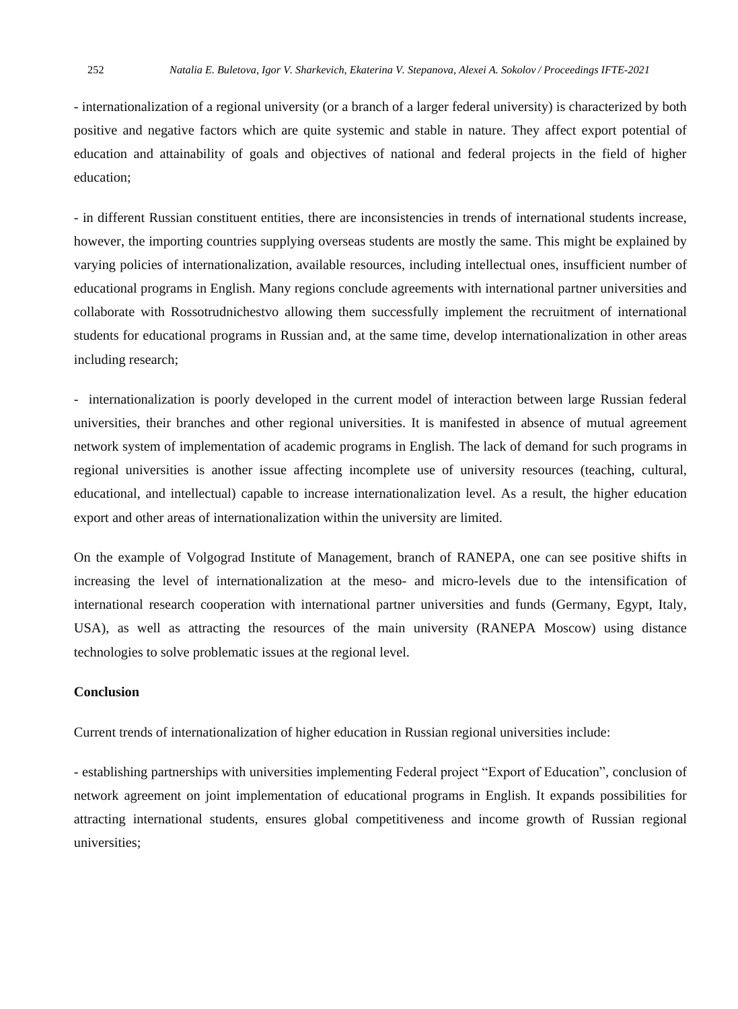- internationalization of a regional university (or a branch of a larger federal university) is characterized by both positive and negative factors which are quite systemic and stable in nature. They affect export potential of education and attainability of goals and objectives of national and federal projects in the field of higher education;

- in different Russian constituent entities, there are inconsistencies in trends of international students increase, however, the importing countries supplying overseas students are mostly the same. This might be explained by varying policies of internationalization, available resources, including intellectual ones, insufficient number of educational programs in English. Many regions conclude agreements with international partner universities and collaborate with Rossotrudnichestvo allowing them successfully implement the recruitment of international students for educational programs in Russian and, at the same time, develop internationalization in other areas including research;

- internationalization is poorly developed in the current model of interaction between large Russian federal universities, their branches and other regional universities. It is manifested in absence of mutual agreement network system of implementation of academic programs in English. The lack of demand for such programs in regional universities is another issue affecting incomplete use of university resources (teaching, cultural, educational, and intellectual) capable to increase internationalization level. As a result, the higher education export and other areas of internationalization within the university are limited.

On the example of Volgograd Institute of Management, branch of RANEPA, one can see positive shifts in increasing the level of internationalization at the meso- and micro-levels due to the intensification of international research cooperation with international partner universities and funds (Germany, Egypt, Italy, USA), as well as attracting the resources of the main university (RANEPA Moscow) using distance technologies to solve problematic issues at the regional level.

#### **Conclusion**

Current trends of internationalization of higher education in Russian regional universities include:

- establishing partnerships with universities implementing Federal project "Export of Education", conclusion of network agreement on joint implementation of educational programs in English. It expands possibilities for attracting international students, ensures global competitiveness and income growth of Russian regional universities;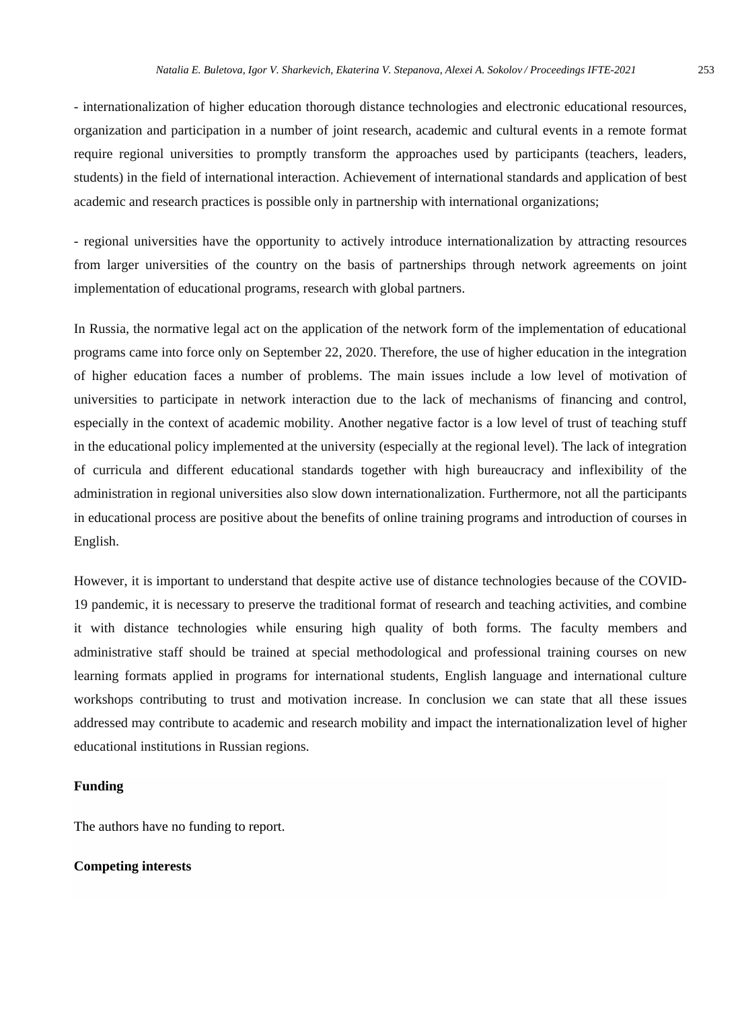- internationalization of higher education thorough distance technologies and electronic educational resources, organization and participation in a number of joint research, academic and cultural events in a remote format require regional universities to promptly transform the approaches used by participants (teachers, leaders, students) in the field of international interaction. Achievement of international standards and application of best academic and research practices is possible only in partnership with international organizations;

- regional universities have the opportunity to actively introduce internationalization by attracting resources from larger universities of the country on the basis of partnerships through network agreements on joint implementation of educational programs, research with global partners.

In Russia, the normative legal act on the application of the network form of the implementation of educational programs came into force only on September 22, 2020. Therefore, the use of higher education in the integration of higher education faces a number of problems. The main issues include a low level of motivation of universities to participate in network interaction due to the lack of mechanisms of financing and control, especially in the context of academic mobility. Another negative factor is a low level of trust of teaching stuff in the educational policy implemented at the university (especially at the regional level). The lack of integration of curricula and different educational standards together with high bureaucracy and inflexibility of the administration in regional universities also slow down internationalization. Furthermore, not all the participants in educational process are positive about the benefits of online training programs and introduction of courses in English.

However, it is important to understand that despite active use of distance technologies because of the COVID-19 pandemic, it is necessary to preserve the traditional format of research and teaching activities, and combine it with distance technologies while ensuring high quality of both forms. The faculty members and administrative staff should be trained at special methodological and professional training courses on new learning formats applied in programs for international students, English language and international culture workshops contributing to trust and motivation increase. In conclusion we can state that all these issues addressed may contribute to academic and research mobility and impact the internationalization level of higher educational institutions in Russian regions.

#### **Funding**

The authors have no funding to report.

## **Competing interests**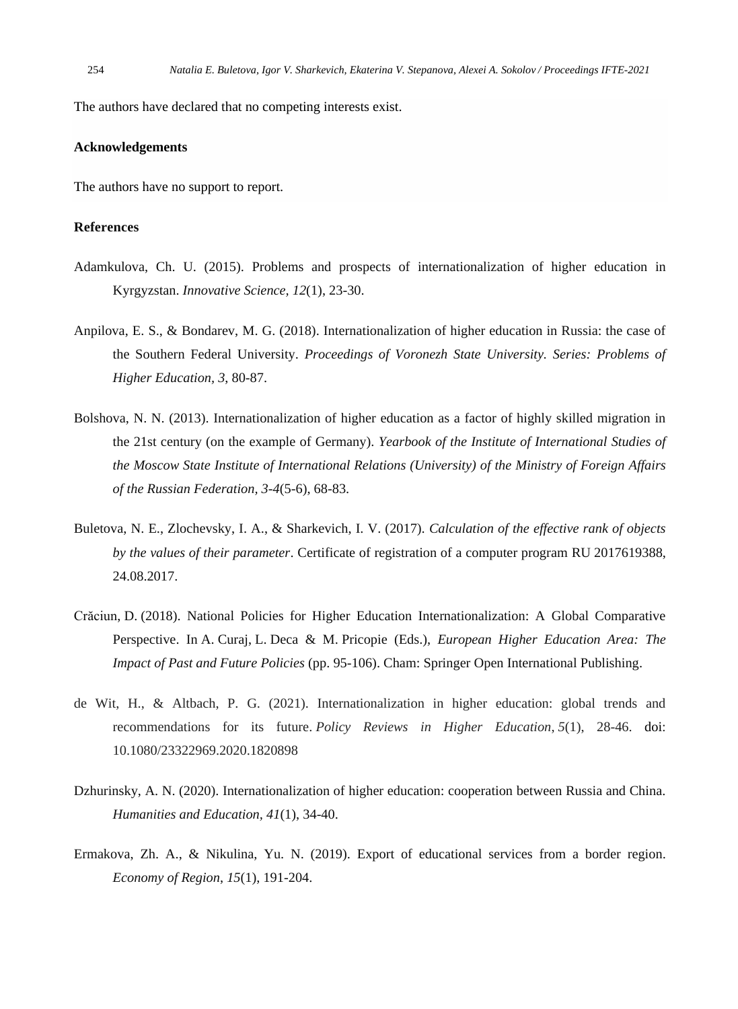The authors have declared that no competing interests exist.

## **Acknowledgements**

The authors have no support to report.

## **References**

- Adamkulova, Ch. U. (2015). Problems and prospects of internationalization of higher education in Kyrgyzstan. *Innovative Science, 12*(1), 23-30.
- Anpilova, E. S., & Bondarev, M. G. (2018). Internationalization of higher education in Russia: the case of the Southern Federal University. *Proceedings of Voronezh State University. Series: Problems of Higher Education, 3*, 80-87.
- Bolshova, N. N. (2013). Internationalization of higher education as a factor of highly skilled migration in the 21st century (on the example of Germany). *Yearbook of the Institute of International Studies of the Moscow State Institute of International Relations (University) of the Ministry of Foreign Affairs of the Russian Federation, 3-4*(5-6), 68-83.
- Buletova, N. E., Zlochevsky, I. A., & Sharkevich, I. V. (2017). *Calculation of the effective rank of objects by the values of their parameter*. Certificate of registration of a computer program RU 2017619388, 24.08.2017.
- Crăciun, D. (2018). National Policies for Higher Education Internationalization: A Global Comparative Perspective. In A. Curaj, L. Deca & M. Pricopie (Eds.), *European Higher Education Area: The Impact of Past and Future Policies* (pp. 95-106). Cham: Springer Open International Publishing.
- de Wit, H., & Altbach, P. G. (2021). Internationalization in higher education: global trends and recommendations for its future. *Policy Reviews in Higher Education*, *5*(1), 28-46. doi: 10.1080/23322969.2020.1820898
- Dzhurinsky, A. N. (2020). Internationalization of higher education: cooperation between Russia and China. *Humanities and Education, 41*(1), 34-40.
- Ermakova, Zh. A., & Nikulina, Yu. N. (2019). Export of educational services from a border region. *Economy of Region*, *15*(1), 191-204.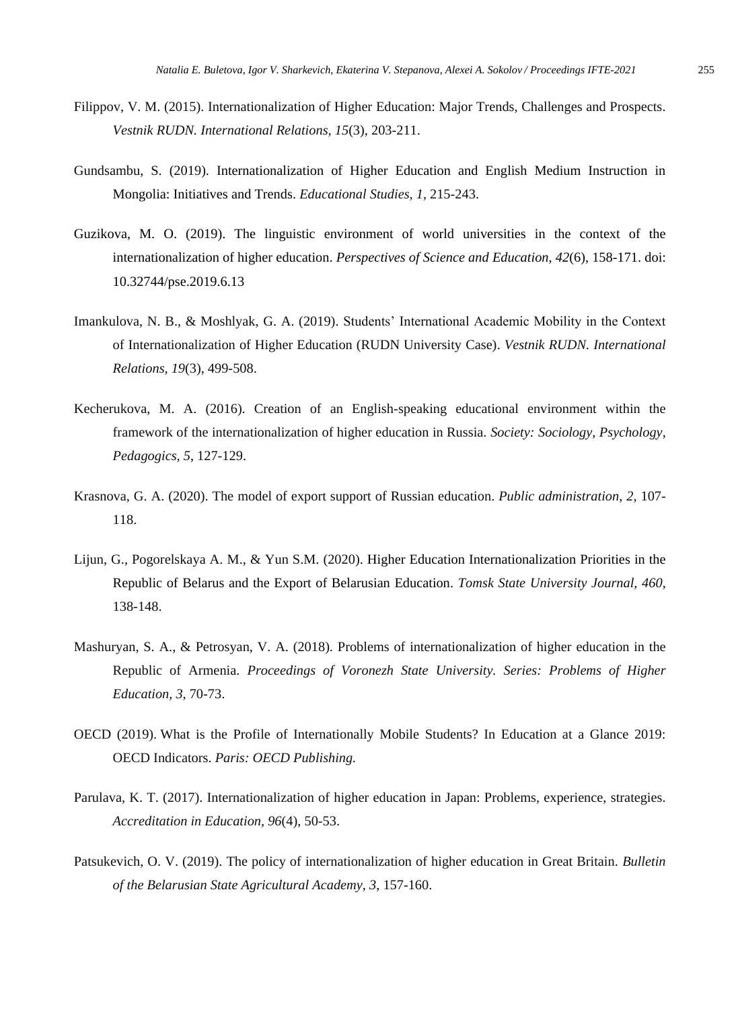- Filippov, V. M. (2015). Internationalization of Higher Education: Major Trends, Challenges and Prospects. *Vestnik RUDN. International Relations, 15*(3), 203-211.
- Gundsambu, S. (2019). Internationalization of Higher Education and English Medium Instruction in Mongolia: Initiatives and Trends. *Educational Studies, 1*, 215-243.
- Guzikova, M. O. (2019). The linguistic environment of world universities in the context of the internationalization of higher education. *Perspectives of Science and Education, 42*(6), 158-171. doi: 10.32744/pse.2019.6.13
- Imankulova, N. B., & Moshlyak, G. A. (2019). Students' International Academic Mobility in the Context of Internationalization of Higher Education (RUDN University Case). *Vestnik RUDN. International Relations, 19*(3), 499-508.
- Kecherukova, M. A. (2016). Creation of an English-speaking educational environment within the framework of the internationalization of higher education in Russia. *Society: Sociology, Psychology, Pedagogics, 5*, 127-129.
- Krasnova, G. A. (2020). The model of export support of Russian education. *Public administration*, *2,* 107- 118.
- Lijun, G., Pogorelskaya A. M., & Yun S.M. (2020). Higher Education Internationalization Priorities in the Republic of Belarus and the Export of Belarusian Education. *Tomsk State University Journal, 460*, 138-148.
- Mashuryan, S. A., & Petrosyan, V. A. (2018). Problems of internationalization of higher education in the Republic of Armenia. *Proceedings of Voronezh State University. Series: Problems of Higher Education, 3*, 70-73.
- OECD (2019). What is the Profile of Internationally Mobile Students? In Education at a Glance 2019: OECD Indicators. *Paris: OECD Publishing.*
- Parulava, K. T. (2017). Internationalization of higher education in Japan: Problems, experience, strategies. *Accreditation in Education, 96*(4), 50-53.
- Patsukevich, O. V. (2019). The policy of internationalization of higher education in Great Britain. *Bulletin of the Belarusian State Agricultural Academy, 3*, 157-160.